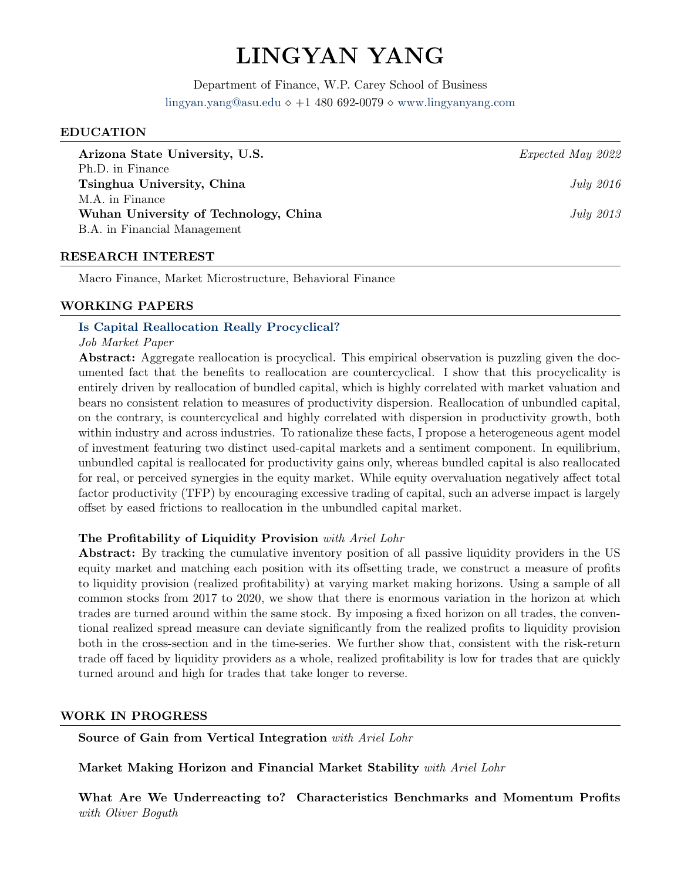## LINGYAN YANG

Department of Finance, W.P. Carey School of Business [lingyan.yang@asu.edu](mailto:lyang142@asu.edu)  $\diamond +1$  480 692-0079  $\diamond$  <www.lingyanyang.com>

#### EDUCATION

| Arizona State University, U.S.        | Expected May 2022 |
|---------------------------------------|-------------------|
| Ph.D. in Finance                      |                   |
| Tsinghua University, China            | <i>July 2016</i>  |
| M.A. in Finance                       |                   |
| Wuhan University of Technology, China | <i>July 2013</i>  |
| B.A. in Financial Management          |                   |
|                                       |                   |

#### RESEARCH INTEREST

Macro Finance, Market Microstructure, Behavioral Finance

#### WORKING PAPERS

#### [Is Capital Reallocation Really Procyclical?](https://www.dropbox.com/s/re21691yl4erhe8/CapitalReallocation_JMP.pdf?dl=0)

#### Job Market Paper

Abstract: Aggregate reallocation is procyclical. This empirical observation is puzzling given the documented fact that the benefits to reallocation are countercyclical. I show that this procyclicality is entirely driven by reallocation of bundled capital, which is highly correlated with market valuation and bears no consistent relation to measures of productivity dispersion. Reallocation of unbundled capital, on the contrary, is countercyclical and highly correlated with dispersion in productivity growth, both within industry and across industries. To rationalize these facts, I propose a heterogeneous agent model of investment featuring two distinct used-capital markets and a sentiment component. In equilibrium, unbundled capital is reallocated for productivity gains only, whereas bundled capital is also reallocated for real, or perceived synergies in the equity market. While equity overvaluation negatively affect total factor productivity (TFP) by encouraging excessive trading of capital, such an adverse impact is largely offset by eased frictions to reallocation in the unbundled capital market.

#### The Profitability of Liquidity Provision with Ariel Lohr

Abstract: By tracking the cumulative inventory position of all passive liquidity providers in the US equity market and matching each position with its offsetting trade, we construct a measure of profits to liquidity provision (realized profitability) at varying market making horizons. Using a sample of all common stocks from 2017 to 2020, we show that there is enormous variation in the horizon at which trades are turned around within the same stock. By imposing a fixed horizon on all trades, the conventional realized spread measure can deviate significantly from the realized profits to liquidity provision both in the cross-section and in the time-series. We further show that, consistent with the risk-return trade off faced by liquidity providers as a whole, realized profitability is low for trades that are quickly turned around and high for trades that take longer to reverse.

#### WORK IN PROGRESS

Source of Gain from Vertical Integration with Ariel Lohr

Market Making Horizon and Financial Market Stability with Ariel Lohr

What Are We Underreacting to? Characteristics Benchmarks and Momentum Profits with Oliver Boguth